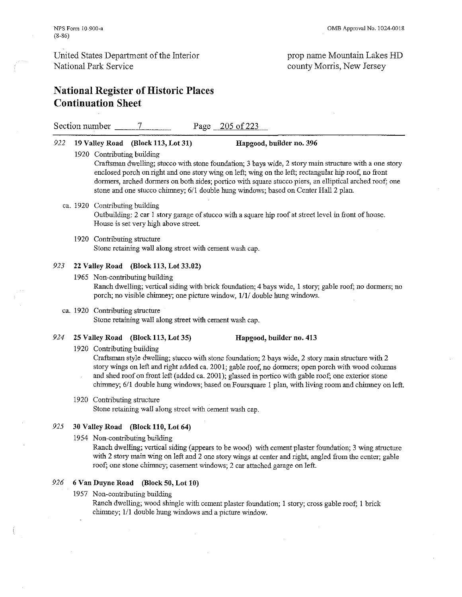### prop name Mountain Lakes HD county Morris, New Jersey

# National Register of Historic Places Continuation Sheet

Section number 7 Page 205 of 223

### 922 19 Valley Road (Block 113, Lot 31) Hapgood, builder uo. 396

1920 Contributing building

Craftsman dwelling; stucco with stone foundation; 3 bays wide, 2 story main structure with a one story enclosed porch on right and one story wing on left; wing on the left; rectangular hip roof, no front dormers, arched dormers on both sides; portico with square stucco piers, an elliptical arched roof; one stone and one stucco chimney; 6/1 double hung windows; based on Center Hall 2 plan.

ca. 1920 Contributing building

Outbuilding: 2 car 1 story garage of stucco with a square hip roof at street level in front of house. House is set very high above street.

1920 Contributing structure Stone retaining wall along street with cement wash cap.

#### 923 22 Valley Road (Block 113, Lot 33.02)

- 1965 Non-contributing building Ranch dweiling; vertical siding with brick foundation; 4 bays wide, 1 story; gable roof; no dormers; no porch; no visible chimney; one picture window, 1/1/ double hung windows.
- ca. 1920 Contributing structure Stone retaining wall along street with cement wash cap.

### 924 25 Valley Road (Block 113, Lot 35) Hapgood, builder no. 413

1920 Contributing building

Craftsman style dwelling; stucco with stone foundation; 2 bays wide, 2 story main structure with 2 story wings on left and right added ca. 2001; gable roof, no dormers; open porch with wood columns and shed roof on front left (added ca. 2001); glassed in portico with gable roof; one exterior stone chimney; 6/1 double hung windows; based on Foursquare I plan, with living room and chimney on left.

#### 1920 Contributing structure

Stone retaining wall along street with cement wash cap.

### 925 30 Valley Road (Block 110, Lot 64)

1954 Non-contributing building

Ranch dwelling; vertical siding (appears to be wood) with cement plaster foundation; 3 wing structure with 2 story main wing on left and 2 one story wings at center and right, angled from the center; gable roof; one stone chimney; casement windows; 2 car attached garage on left.

#### 926 6 Van Duyne Road (Block 50, Lot 10)

1957 Non-contributing building

Ranch dwelling; wood sbingle with cement plaster foundation; I story; cross gable roof; I brick chimney; 1/1 double hung windows and a picture window.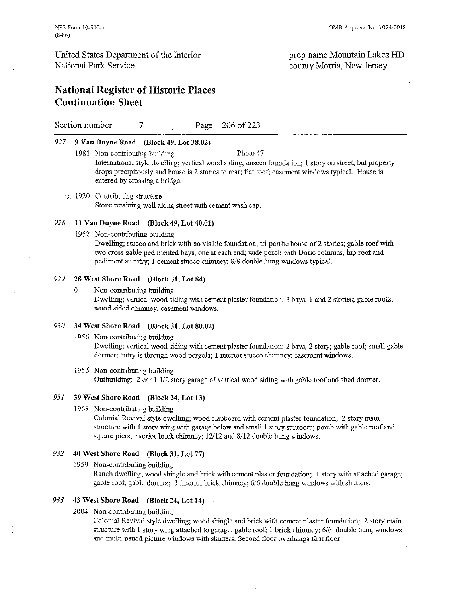### prop name Mountain Lakes HD county Morris, New Jersey

# National Register of Historic Places Continuation Sheet

Section number 7 Page 206 of 223

#### 927 9 Van Duyne Road (Block 49, Lot 38.02)

- 1981 Non-contributing building Photo 47 International style dwelling; vertical wood siding, unseen foundation; 1 story on street, but property drops precipitously and house is 2 stories to rear; flat roof; casement windows typical. House is entered by crossing a bridge.
- ca. 1920 Contributing structure Stone retaining wall along street with cement wash cap.

#### 928 11 Van Duyne Road (Block 49, Lot 40.01)

1952 Non-contributing building

Dwelling; stucco and brick with no visible foundation; tri-partite house of 2 stories; gable roof with two cross gable pedimented bays, one at each end; wide porch with Doric columns, hip roof and pediment at entry; 1 cement stucco chimney; 8/8 double hung windows typical.

#### 929 28 West Shore Road (Block 31, Lot 84)

o Non-contributing building

Dwelling; vertical wood siding with cement plaster foundation; 3 bays, 1 and 2 stories; gable roofs; wood sided chinmey; casement windows.

### *930* 34 West Shore Road (Block 31, Lot 80.02)

1956 Non-contributing building

Dwelling; vertical wood siding with cement plaster foundation; 2 bays, 2 story; gable roof; small gable dormer; entry is through wood pergola; 1 interior stucco chimney; casement windows.

1956 Non-contributing building Outbuilding: 2 car I 112 story garage of vertical wood siding with gable roof and shed dormer.

### 931 39 West Shore Road (Block 24, Lot 13)

1968 Non-contributing building

Colonial Revival style dwelling; wood clapboard with cement plaster foundation; 2 story main structure with 1 story wing with garage below and small 1 story sunroom; porch with gable roof and square piers; interior brick chirmey;  $12/12$  and  $8/12$  double hung windows.

### 932 40 West Shore Road (Block 31, Lot 77)

1959 Non-contributing building

Ranch dwelling; wood shingle and brick with cement plaster foundation; 1 story with attached garage; gable roof, gable dormer; I interior brick chimney; *6/6* double hung windows with shutters.

#### 933 43 West Shore Road (Block 24, Lot 14)

2004 Non-contributing building

Colonial Revival style dwelling; wood shingle and brick with cement plaster foundation; 2 story main structure with I story wing attached to garage; gable roof; I brick chimney; *6/6* double hung windows and multi-paned picture windows with shutters. Second floor overhangs first floor.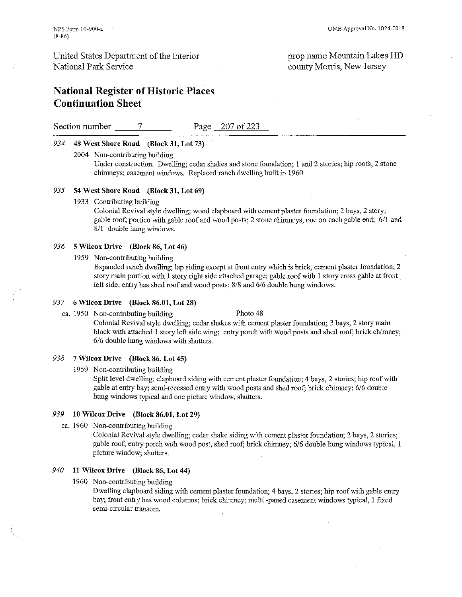### prop name Mountain Lakes HD county Morris, New Jersey

# National Register of Historic Places Continuation Sheet

Section number 7 Page 207 of 223

#### 934 48 West Shore Road (Block 31, Lot 73)

2004 Non-contributing building

Under construction. Dwelling; cedar shakes and stone foundation; 1 and 2 stories; hip roofs; 2 stone chimneys; casement windows. Replaced ranch dwelling built in 1960.

#### 935 54 West Shore Road (Block 31, Lot 69)

1933 Contributing building

Colonial Revival style dwelling; wood clapboard with cement plaster foundation; 2 bays, 2 story; gable roof; portico with gable roof and wood posts; 2 stone chimneys, one on each gable end; 6/1 and 811 double hung windows.

#### 936 5 Wilcox Drive (Block 86, Lot 46)

1959 Non-contributing building

Expanded ranch dwelling; lap siding except at front entry which is brick, cement plaster foundation; 2 story main portion with I story right side attached garage; gable roof with 1 story cross gable at front. left side; entry has shed roof and wood posts; *8/8* and *6/6* double hung windows.

#### 937 6 Wilcox Drive (Block 86.01, Lot 28)

ca. 1950 Non-contributing building Photo 48 Colonial Revival style dwelling; cedar shakes with cement plaster foundation; 3 bays, 2 story main

block with attached I story left side wing; entry porch with wood posts and shed roof; brick chimney; *6/6* double huug windows with shutters.

#### 938 7 Wilcox Drive (Block 86, Lot 45)

1959 Non-contributing building

Split level dwelling; clapboard siding with cement plaster foundation; 4 bays, 2 stories; hip roof with gable at entry bay; semi-recessed entry with wood posts and shed roof; brick chimney; *6/6* double hung windows typical and one picture window, shutters.

### 939 10 Wilcox Drive (Block 86.01, Lot 29)

ca. 1960 Non-contributing building

Colonial Revival style dwelling; cedar shake siding with cement plaster foundation; 2 bays, 2 stories; gable roof; entry porch with wood post, shed roof; brick chimney; *6/6* double hung windows typical, 1 picture window; shutters.

### *940* 11 Wilcox Drive (Block 86, Lot 44)

1960 Non-contributing building

Dwelling clapboard siding with cement plaster foundation; 4 bays, 2 stories; hip roof with gable entry bay; front entry has wood columns; brick chimney; multi -paned casement windows typical, I fixed semi-circular transom.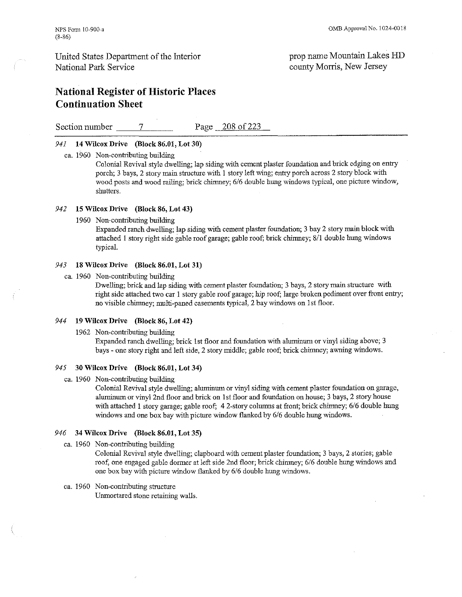# **National Register** of Historic **Places Continuation Sheet**

Section number 7 Page 208 of 223

#### 941 **14 Wilcox Drive (Block 86.01, Lot 30)**

ca. 1960 Non-contributing building

Colonial Revival style dwelling; lap siding with cement plaster foundation and brick edging on entry porch; 3 bays, 2 story main structure with 1 story left wing; entry porch across 2 story block with wood posts and wood railing; brick chimney; 6/6 double hung windows typical, one pictnre window, **shutters.** 

#### 942 **15 Wilcox Drive (Block 86, Lot 43)**

1960 Non-contributing building

Expanded ranch dwelling; lap siding with cement plaster foundation; 3 bay 2 story main block with attached I story right side gable roof garage; gable roof; brick chimney; 8/1 double hung windows typical.

#### 943 **18 Wilcox Drive (Block 86.01, Lot 31)**

ca. 1960 Non-contributing building

Dwelling; brick and lap siding with cement plaster foundation; 3 bays, 2 story main structure with right side attached two car 1 story gable roof garage; hip roof; large broken pediment over front entry; no visible chimney; multi-paned casements typical, 2 bay windows on 1st floor.

#### 944 **19 Wilcox Drive (Block 86, Lot 42)**

1962 Non-contributing building

Expanded ranch dwelling; brick 1st floor and foundation with aluminum or vinyl siding above; 3 bays - one story right and left side, 2 story middle; gable roof; brick chimney; awning windows.

#### 945 **30 Wilcox Drive (Block 86.01, Lot 34)**

ca. 1960 Non-contributing building

Colonial Revival style dwelling; aluminum or vinyl siding with cement plaster foundation on garage, aluminum or vinyl 2nd floor and brick on I st floor and foundation on house; 3 bays, 2 story house with attached 1 story garage; gable roof; 4 2-story columns at front; brick chimney; 6/6 double hung windows and one box bay with picture window flanked by 6/6 double hung windows.

#### 946 **34 Wilcox Drive (Block 86.01, Lot 35)**

ca. 1960 Non-contributing building

Colonial Revival style dwelling; clapboard with cement plaster foundation; 3 bays, 2 stories; gable roof, one engaged gable dormer at left side 2nd floor; brick chimney; 6/6 double hung windows and one box bay with picture window flanked by 6/6 double hung windows.

#### ca. 1960 Non-contributing structure Unmortared stone retaining walls.

prop name Mountain Lakes lID county Morris, New Jersey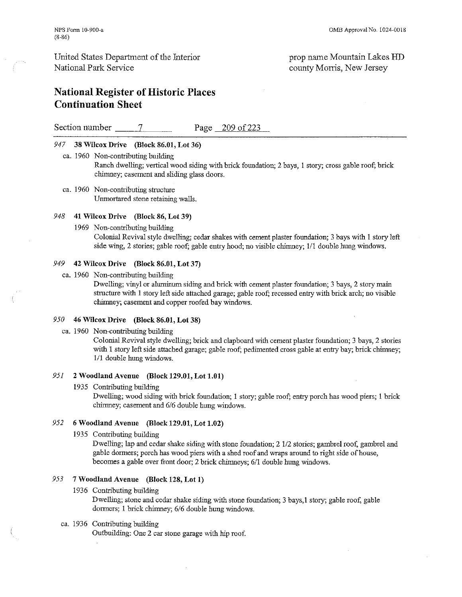prop name Mountain Lakes HD county Morris, New Jersey

# National Register of Historic Places Continuation Sheet

Section number  $\frac{7}{2}$  Page 209 of 223

#### 947 38 Wilcox Drive (Block 86.01, Lot 36)

- ca. 1960 Non-contributing building Ranch dwelling; vertical wood siding with brick foundation; 2 bays, I story; cross gable roof; brick chimney; casement and sliding glass doors.
- ca. 1960 Non-contributing structure Umnortared stone retaining walls.

#### 948 41 Wilcox Drive (Block 86, Lot 39)

1969 Non-contributing building

Colonial Revival style dwelling; cedar shakes with cement plaster foundation; 3 bays with I story left side wing, 2 stories; gable roof; gable entry hood; no visible chimney; 111 double hung windows.

#### 949 42 Wilcox Drive (Block 86.01, Lot 37)

ca. 1960 Non-contributing building

Dwelling; vinyl or aluminum siding and brick with cement plaster foundation; 3 bays, 2 story main structure with I story left side attached garage; gable roof; recessed entry with brick arch; no visible chimney; casement and copper roofed bay windows.

### *950* 46 Wilcox Drive (Block 86.01, Lot 38)

ca. 1960 Non-contributing building

Colonial Revival style dwelling; brick and clapboard with cement plaster foundation; 3 bays, 2 stories with I story left side attached garage; gable roof; pedimented cross gable at entry bay; brick chimney; III double hung windows.

#### 951 2 Woodland Avenne (Block 129.01, Lot 1.01)

1935 Contributing building

Dwelling; wood siding with brick foundation; I story; gable roof; entry porch has wood piers; 1 brick chimney; casement and 6/6 double hung windows.

#### 952 6 Woodland Avenue (Block 129.01, Lot 1.02)

1935 Contributing building

Dwelling; lap and cedar shake siding with stone foundation; 2  $1/2$  stories; gambrel roof, gambrel and gable dormers; porch has wood piers with a shed roof and wraps around to right side of house, becomes a gable over front door; 2 brick chimoeys; *6/1* double hung windows.

### 953 7 Woodland Avenne (Block 128, Lot 1)

1936 Contributing building

Dwelling; stone and cedar shake siding with stone foundation; 3 bays,1 story; gable roof, gable dormers; I brick chimney; 6/6 double huug windows.

#### ca. 1936 Contributing building

Outbuilding: One 2 car stone garage with hip roof.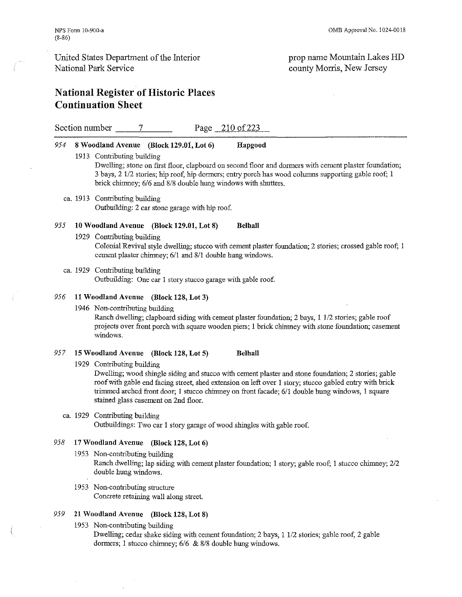$\overline{\phantom{a}}$ 

### United States Department of the Interior National Park Service

### prop name Mountain Lakes HD connty Morris, New Jersey

 $\overline{\phantom{a}}$ 

# National Register of Historic Places Continuation Sheet

|     | Section number $\qquad \qquad$ 7<br>Page 210 of 223                                                                                                                                                                                                                                                                                                                                   |
|-----|---------------------------------------------------------------------------------------------------------------------------------------------------------------------------------------------------------------------------------------------------------------------------------------------------------------------------------------------------------------------------------------|
| 954 | 8 Woodland Avenue (Block 129.01, Lot 6)<br>Hapgood<br>1913 Contributing building                                                                                                                                                                                                                                                                                                      |
|     | Dwelling; stone on first floor, clapboard on second floor and dormers with cement plaster foundation;<br>3 bays, 2 1/2 stories; hip roof, hip dormers; entry porch has wood columns supporting gable roof; 1<br>brick chimney; 6/6 and 8/8 double hung windows with shutters.                                                                                                         |
|     | ca. 1913 Contributing building<br>Outbuilding: 2 car stone garage with hip roof.                                                                                                                                                                                                                                                                                                      |
| 955 | 10 Woodland Avenue (Block 129.01, Lot 8)<br><b>Belhall</b>                                                                                                                                                                                                                                                                                                                            |
|     | 1929 Contributing building<br>Colonial Revival style dwelling; stucco with cement plaster foundation; 2 stories; crossed gable roof; 1<br>cement plaster chimney; 6/1 and 8/1 double hung windows.                                                                                                                                                                                    |
|     | ca. 1929 Contributing building<br>Outbuilding: One car 1 story stucco garage with gable roof.                                                                                                                                                                                                                                                                                         |
| 956 | 11 Woodland Avenue (Block 128, Lot 3)                                                                                                                                                                                                                                                                                                                                                 |
|     | 1946 Non-contributing building<br>Ranch dwelling; clapboard siding with cement plaster foundation; 2 bays, 1 1/2 stories; gable roof<br>projects over front porch with square wooden piers; 1 brick chimney with stone foundation; casement<br>windows.                                                                                                                               |
| 957 | 15 Woodland Avenue (Block 128, Lot 5)<br>Belhall                                                                                                                                                                                                                                                                                                                                      |
|     | 1929 Contributing building<br>Dwelling; wood shingle siding and stucco with cement plaster and stone foundation; 2 stories; gable<br>roof with gable end facing street, shed extension on left over 1 story; stucco gabled entry with brick<br>trimmed arched front door; 1 stucco chimney on front facade; 6/1 double hung windows, 1 square<br>stained glass casement on 2nd floor. |
|     | ca. 1929 Contributing building<br>Outbuildings: Two car 1 story garage of wood shingles with gable roof.                                                                                                                                                                                                                                                                              |
| 958 | 17 Woodland Avenue (Block 128, Lot 6)                                                                                                                                                                                                                                                                                                                                                 |
|     | 1953 Non-contributing building<br>Ranch dwelling; lap siding with cement plaster foundation; 1 story; gable roof; 1 stucco chimney; 2/2<br>double hung windows.                                                                                                                                                                                                                       |
|     | 1953 Non-contributing structure<br>Concrete retaining wall along street.                                                                                                                                                                                                                                                                                                              |
| 959 | 21 Woodland Avenue (Block 128, Lot 8)                                                                                                                                                                                                                                                                                                                                                 |
|     | 1953 Non-contributing building<br>Dwelling; cedar shake siding with cement foundation; 2 bays, 1 1/2 stories; gable roof, 2 gable                                                                                                                                                                                                                                                     |

dormers; I stucco chimney; *6/6* & *8/8* double bung windows.

 $\bar{z}$ 

 $\mathcal{L}$ 

 $\bar{\beta}$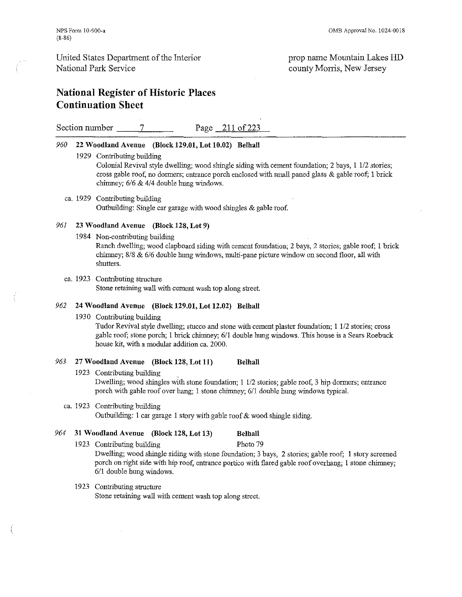prop name Mountain Lakes HD county Morris, New Jersey

# National Register of Historic Places Continuation Sheet

Section number 7 Page 211 of 223

#### *960* 22 Woodland Avenue (Block 129.01, Lot 10.02) Belhall

1929 Contributing building

Colonial Revival style dwelling; wood shingle siding with cement foundation; 2 bays, I 1/2 stories; cross gable roof, no donners; entrance porch enclosed with small paned glass & gable roof; 1 brick chimney; *6/6* & *4/4* double hung windows.

#### ca. 1929 Contributing building Ontbuilding: Single car garage with wood shingles & gable roof.

#### 961 23 Woodland Avenue (Block 128, Lot 9)

1984 Non-contributing building

Ranch dwelling; wood clapboard siding with cement foundation; 2 bays, 2 stories; gable roof; 1 brick chimney; *8/8* & *6/6* donble hung windows, multi-pane pietroe window on second floor, all with shutters.

#### ca. 1923 Contributing structure Stone retaining wall with cement wash top along street.

### 962 24 Woodland Avenue (Block 129.01, Lot 12.02) Belhall

1930 Contributing building

Tudor Revival style dwelling; stucco and stone with cement plaster foundation; 1 1/2 stories; cross gable roof; stone porch; I brick chimney; *6/1* double hung windows. This house is a Sears Roebuck house kit, with a modular addition ca. 2000.

### 963 27 Woodland Avenue (Block 128, Lot 11) Belhall

1923 Contributing building Dwelling; wood shingles with stone foundation; 1 1/2 stories; gable roof, 3 hip dormers; entrance porch with gable roof over hang; 1 stone chimney; *611* double hung windows typical.

### ca. 1923 Contributing building

Outbuilding: 1 car garage 1 story with gable roof  $&$  wood shingle siding.

#### 964 31 Woodland Avenue (Block 128, Lot 13) Belhall

*6/1* double hung windows.

1923 Contributing building Photo 79 Dwelling; wood shingle siding with stone foundation; 3 bays, 2 stories; gable roof; 1 story screened porch on right side with hip roof, entrance portico with flared gable roof overhang; 1 stone chimney;

#### 1923 Contributing structure

Stone retaining wall with cement wash top along street.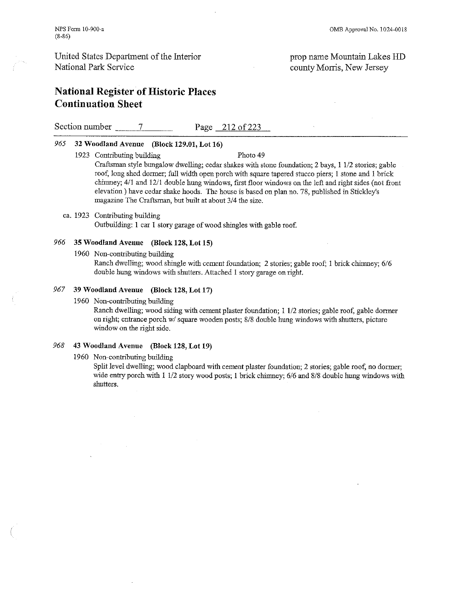National Register of Historic Places Continuation Sheet

Section number 7 Page 212 of 223

#### 965 32 Woodland Avenne (Block 129.01, Lot 16)

- 1923 Contributing building Photo 49 Craftsman style bungalow dwelling; cedar shakes with stone foundation; 2 bays, 1 *1/2* stories; gable roof, long shed donner; full width open porch with square tapered stucco piers; I stone and 1 brick chimney; 4/1 and 12/1 double hung windows, first floor windows on the left and right sides (not front elevation) have cedar shake hoods. The house is based on plan no. 78, published in Stickley's magazine The Craftsman, but built at about *314* the size.
- ca. 1923 Contributing building Outbuilding: 1 car 1 story garage of wood shingles with gable roof.

#### 966 35 Woodland Avenne (Block 128, Lot 15)

1960 Non-contributing building

Ranch dwelling; wood slringle with cement foundation; 2 stories; gable roof; I brick chimney; *6/6*  double hung windows with shutters. Attached 1 story garage on right.

#### 967 39 Woodland Avenne (Block 128, Lot 17)

1960 Non-contributing bnilding

Ranch dwelling; wood siding with cement plaster foundation; 1 112 stories; gable roof, gable dormer on right; entrance porch wi square wooden posts; *8/8* double hung windows with shutters, picture window on the right side.

#### 968 43 Woodland Avenne (Block 128, Lot 19)

#### 1960 Non-contributing building

Split level dwelling; wood clapboard with cement plaster foundation; 2 stories; gable roof, no dormer; wide entry porch with 1 *1/2* story wood posts; I brick chimney; *6/6* and *8/8* double hung windows with shutters.

prop name Mountain Lakes HD county Morris, New Jersey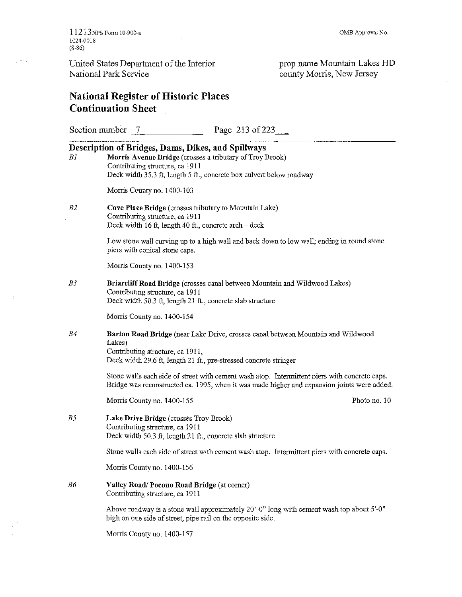11213NPS Form 10-900-. 1024-0018 (8-86)

 $\sim$   $\sim$ 

United States Department of the Interior National Park Service

prop name Mountain Lakes lID county Morris, New Jersey

# **National Register** of Historic **Places Continuation Sheet**

|    | Page 213 of 223<br>Section number 7                                                                                                                                                                                       |
|----|---------------------------------------------------------------------------------------------------------------------------------------------------------------------------------------------------------------------------|
| Βl | Description of Bridges, Dams, Dikes, and Spillways<br>Morris Avenue Bridge (crosses a tributary of Troy Brook)<br>Contributing structure, ca 1911<br>Deck width 35.3 ft, length 5 ft., concrete box culvert below roadway |
|    | Morris County no. 1400-103                                                                                                                                                                                                |
| B2 | Cove Place Bridge (crosses tributary to Mountain Lake)<br>Contributing structure, ca 1911<br>Deck width 16 ft, length 40 ft., concrete arch – deck                                                                        |
|    | Low stone wall curving up to a high wall and back down to low wall; ending in round stone<br>piers with conical stone caps.                                                                                               |
|    | Morris County no. 1400-153                                                                                                                                                                                                |
| B3 | Briarcliff Road Bridge (crosses canal between Mountain and Wildwood Lakes)<br>Contributing structure, ca 1911<br>Deck width 50.3 ft, length 21 ft., concrete slab structure                                               |
|    | Morris County no. 1400-154                                                                                                                                                                                                |
| B4 | Barton Road Bridge (near Lake Drive, crosses canal between Mountain and Wildwood<br>Lakes)<br>Contributing structure, ca 1911,<br>Deck width 29.6 ft, length 21 ft., pre-stressed concrete stringer                       |
|    | Stone walls each side of street with cement wash atop. Intermittent piers with concrete caps.<br>Bridge was reconstructed ca. 1995, when it was made higher and expansion joints were added.                              |
|    | Photo no. 10<br>Morris County no. 1400-155                                                                                                                                                                                |
| B5 | Lake Drive Bridge (crosses Troy Brook)<br>Contributing structure, ca 1911<br>Deck width 50.3 ft, length 21 ft., concrete slab structure                                                                                   |
|    | Stone walls each side of street with cement wash atop. Intermittent piers with concrete caps.                                                                                                                             |
|    | Morris County no. 1400-156                                                                                                                                                                                                |
| B6 | Valley Road/Pocono Road Bridge (at corner)<br>Contributing structure, ca 1911                                                                                                                                             |
|    | Above roadway is a stone wall approximately 20'-0" long with cement wash top about 5'-0"<br>high on one side of street, pipe rail on the opposite side.                                                                   |
|    | Morris County no. 1400-157                                                                                                                                                                                                |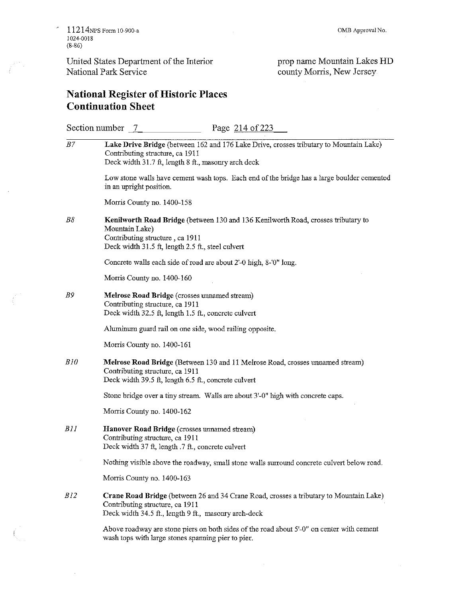$\bar{z}$ 

 $\mathcal{L}$ 

United States Department of the Interior National Park Service

**OMB** Approval No.

 $\bar{z}$ 

prop name Mountain Lakes HD county Morris, New Jersey

# **National Register** of Historic **Places Continuation Sheet**

|     | Page 214 of 223<br>Section number 7                                                                                                                                                         |
|-----|---------------------------------------------------------------------------------------------------------------------------------------------------------------------------------------------|
| B7  | Lake Drive Bridge (between 162 and 176 Lake Drive, crosses tributary to Mountain Lake)<br>Contributing structure, ca 1911<br>Deck width 31.7 ft, length 8 ft., masonry arch deck            |
|     | Low stone walls have cement wash tops. Each end of the bridge has a large boulder cemented<br>in an upright position.                                                                       |
|     | Morris County no. 1400-158                                                                                                                                                                  |
| B8  | Kenilworth Road Bridge (between 130 and 136 Kenilworth Road, crosses tributary to<br>Mountain Lake)<br>Contributing structure, ca 1911<br>Deck width 31.5 ft, length 2.5 ft., steel culvert |
|     | Concrete walls each side of road are about 2'-0 high, 8-'0" long.                                                                                                                           |
|     | Morris County no. 1400-160                                                                                                                                                                  |
| B9  | Melrose Road Bridge (crosses unnamed stream)<br>Contributing structure, ca 1911<br>Deck width 32.5 ft, length 1.5 ft., concrete culvert                                                     |
|     | Aluminum guard rail on one side, wood railing opposite.                                                                                                                                     |
|     | Morris County no. 1400-161                                                                                                                                                                  |
| B10 | Melrose Road Bridge (Between 130 and 11 Melrose Road, crosses unnamed stream)<br>Contributing structure, ca 1911<br>Deck width 39.5 ft, length 6.5 ft., concrete culvert                    |
|     | Stone bridge over a tiny stream. Walls are about 3'-0" high with concrete caps.                                                                                                             |
|     | Morris County no. 1400-162                                                                                                                                                                  |
| BII | Hanover Road Bridge (crosses unnamed stream)<br>Contributing structure, ca 1911<br>Deck width 37 ft, length .7 ft., concrete culvert                                                        |
|     | Nothing visible above the roadway, small stone walls surround concrete culvert below road.                                                                                                  |
|     | Morris County no. 1400-163                                                                                                                                                                  |
| B12 | Crane Road Bridge (between 26 and 34 Crane Road, crosses a tributary to Mountain Lake)<br>Contributing structure, ca 1911<br>Deck width 34.5 ft., length 9 ft., masonry arch-deck           |
|     | Above roadway are stone piers on both sides of the road about 5'-0" on center with cement<br>wash tops with large stones spanning pier to pier.                                             |

 $\hat{\boldsymbol{\beta}}$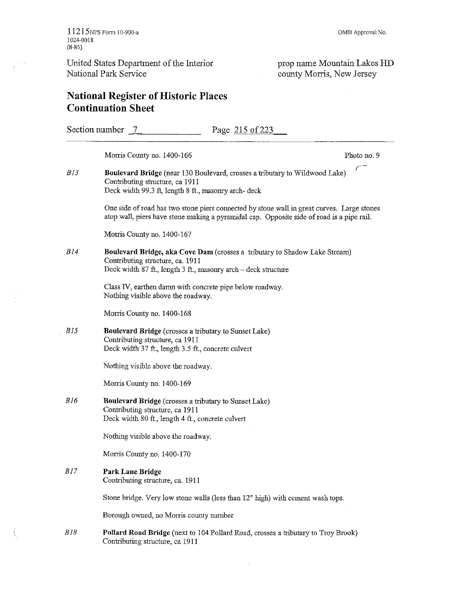**OMB Approval No.** 

prop name Mountain Lakes lID county Morris, New Jersey

# **National Register** of Historic **Places Continuation Sheet**

Section number -1--7 \_\_\_\_\_\_ \_ Page 215 of223 Morris County no. 1400-166 *BJ3*  Photo no. 9  $\frac{1}{\sqrt{2}}$ **Boulevard Bridge** (near 130 Boulevard, crosses a tributary to Wildwood Lake) Contributiog structure, ca 1911 Deck width 99.3 ft, length 8 ft., masonry arch- deck **One side of road has two stone piers connected by stone wall in great curves. Large stones**  atop wall, piers have stone making a pyramidal cap. Opposite side of road is a pipe rail. Morris County no. 1400-167 BJ 4 **Boulevard Bridge, aka Cove Darn** (crosses a tributary to Shadow Lake Stream) Contributing structure, ca. 1911 Deck width 87 ft., length 3 ft., masomy arch - deck structure Class IV, earthen damn with concrete pipe below roadway. Nothing visible above the roadway. Morris County no. 1400-168 BJ5 **Boulevard Bridge** (crosses a tributary to Sunset Lake) Contributiog structure, ca 1911 Deck width 37 ft., length 3.5 ft., concrete culvert Nothing visible above the roadway. Morris County no. 1400-169 BJ 6 **Boulevard Bridge** (crosses a tributary to Sunset Lake) Contributing structure, ca 1911 Deck width 80 ft., length 4 ft., concrete culvert Nothing visible above the roadway. Morris County no. 1400-170 *BJ7* **Park** Lane **Bridge**  Contributiog structure, ca. 1911 Stone bridge. Very low stone walls (less tban 12" high) with cement wash tops. **Borough owned, no Manis county number**  BJ 8 **Pollard Road Bridge** (next to 104 Pollard Road, crosses a tributary to Troy Brook) Contributiog structure, ca 1911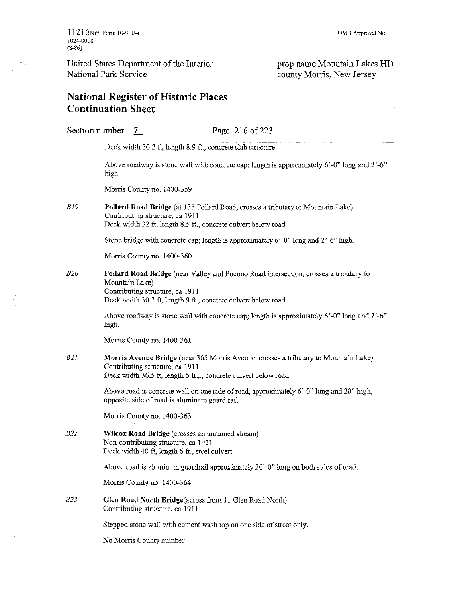$\bar{\gamma}$ 

 $\bar{z}$ 

prop name Mountain Lakes HD county Morris, New Jersey

# **National Register** of Historic **Places Continuation Sheet**

|            | Section number 7<br>Page 216 of 223                                                                                                                                                                         |
|------------|-------------------------------------------------------------------------------------------------------------------------------------------------------------------------------------------------------------|
|            | Deck width 30.2 ft, length 8.9 ft., concrete slab structure                                                                                                                                                 |
|            | Above roadway is stone wall with concrete cap; length is approximately $6'-0''$ long and $2'-6''$<br>high.                                                                                                  |
|            | Morris County no. 1400-359                                                                                                                                                                                  |
| <i>B19</i> | Pollard Road Bridge (at 135 Pollard Road, crosses a tributary to Mountain Lake)<br>Contributing structure, ca 1911<br>Deck width 32 ft, length 8.5 ft., concrete culvert below road                         |
|            | Stone bridge with concrete cap; length is approximately 6'-0" long and 2'-6" high.                                                                                                                          |
|            | Morris County no. 1400-360                                                                                                                                                                                  |
| <i>B20</i> | Pollard Road Bridge (near Valley and Pocono Road intersection, crosses a tributary to<br>Mountain Lake)<br>Contributing structure, ca 1911<br>Deck width 30.3 ft, length 9 ft., concrete culvert below road |
|            | Above roadway is stone wall with concrete cap; length is approximately $6'-0''$ long and $2'-6''$<br>high.                                                                                                  |
|            | Morris County no. 1400-361                                                                                                                                                                                  |
| B2I        | Morris Avenue Bridge (near 365 Morris Avenue, crosses a tributary to Mountain Lake)<br>Contributing structure, ca 1911<br>Deck width 36.5 ft, length 5 ft.,., concrete culvert below road                   |
|            | Above road is concrete wall on one side of road, approximately 6'-0" long and 20" high,<br>opposite side of road is aluminum guard rail.                                                                    |
|            | Morris County no. 1400-363                                                                                                                                                                                  |
| <i>B22</i> | Wilcox Road Bridge (crosses an unnamed stream)<br>Non-contributing structure, ca 1911<br>Deck width 40 ft, length 6 ft., steel culvert                                                                      |
|            | Above road is aluminum guardrail approximately 20'-0" long on both sides of road.                                                                                                                           |
|            | Morris County no. 1400-364                                                                                                                                                                                  |
| B23        | Glen Road North Bridge(across from 11 Glen Road North)<br>Contributing structure, ca 1911                                                                                                                   |
|            | Stepped stone wall with cement wash top on one side of street only.                                                                                                                                         |
|            | No Morris County number                                                                                                                                                                                     |
|            |                                                                                                                                                                                                             |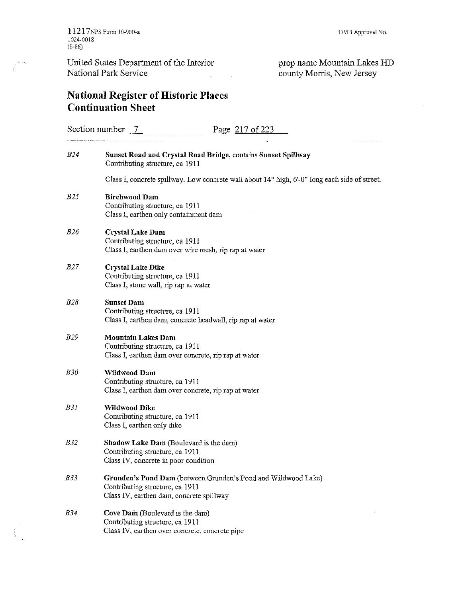prop name Mountain Lakes HD county Morris, New Jersey

# National Register of Historic Places Continuation Sheet

| Section number 7<br>Page 217 of 223 |                                                                                                                                              |  |
|-------------------------------------|----------------------------------------------------------------------------------------------------------------------------------------------|--|
| <i>B24</i>                          | Sunset Road and Crystal Road Bridge, contains Sunset Spillway<br>Contributing structure, ca 1911                                             |  |
|                                     | Class I, concrete spillway. Low concrete wall about 14" high, 6'-0" long each side of street.                                                |  |
| <i>B25</i>                          | <b>Birchwood Dam</b><br>Contributing structure, ca 1911<br>Class I, earthen only containment dam                                             |  |
| B26                                 | <b>Crystal Lake Dam</b><br>Contributing structure, ca 1911<br>Class I, earthen dam over wire mesh, rip rap at water                          |  |
| <i>B27</i>                          | <b>Crystal Lake Dike</b><br>Contributing structure, ca 1911<br>Class I, stone wall, rip rap at water                                         |  |
| <i>B28</i>                          | <b>Sunset Dam</b><br>Contributing structure, ca 1911<br>Class I, earthen dam, concrete headwall, rip rap at water                            |  |
| <i>B29</i>                          | <b>Mountain Lakes Dam</b><br>Contributing structure, ca 1911<br>Class I, earthen dam over concrete, rip rap at water .                       |  |
| <b>B30</b>                          | Wildwood Dam<br>Contributing structure, ca 1911<br>Class I, earthen dam over concrete, rip rap at water                                      |  |
| <b>B31</b>                          | Wildwood Dike<br>Contributing structure, ca 1911<br>Class I, earthen only dike                                                               |  |
| <i>B32</i>                          | <b>Shadow Lake Dam</b> (Boulevard is the dam)<br>Contributing structure, ca 1911<br>Class IV, concrete in poor condition                     |  |
| <i>B</i> 33                         | Grunden's Pond Dam (between Grunden's Pond and Wildwood Lake)<br>Contributing structure, ca 1911<br>Class IV, earthen dam, concrete spillway |  |
| <b>B34</b>                          | Cove Dam (Boulevard is the dam)<br>Contributing structure, ca 1911<br>Class IV, earthen over concrete, concrete pipe                         |  |

 $\sim 10$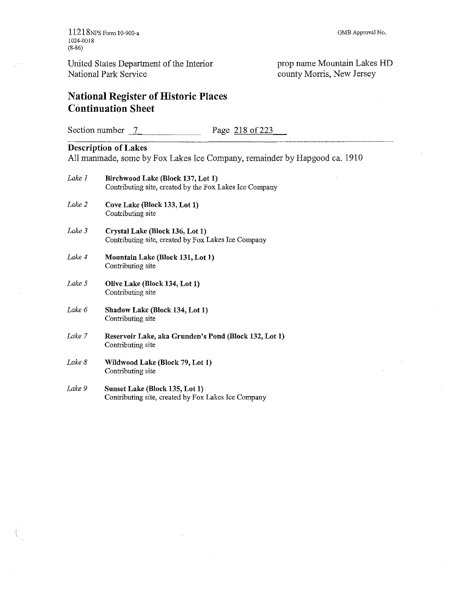لتميز

United States Department of the Interior National Park Service

prop name Mountain Lakes HD county Morris, New Jersey

# **National Register** of Historic **Places Continuation Sheet**

Section number 7 Page 218 of 223

# **Description of Lakes**

All manmade, some by Fox Lakes Ice Company, remainder by Hapgood ca. 1910

| Lake 1 | Birchwood Lake (Block 137, Lot 1)<br>Contributing site, created by the Fox Lakes Ice Company |
|--------|----------------------------------------------------------------------------------------------|
| Lake 2 | Cove Lake (Block 133, Lot 1)<br>Contributing site                                            |
| Lake 3 | Crystal Lake (Block 136, Lot 1)<br>Contributing site, created by Fox Lakes Ice Company       |
| Lake 4 | Mountain Lake (Block 131, Lot 1)<br>Contributing site                                        |
| Lake 5 | Olive Lake (Block 134, Lot 1)<br>Contributing site                                           |
| Lake 6 | Shadow Lake (Block 134, Lot 1)<br>Contributing site                                          |
| Lake 7 | Reservoir Lake, aka Grunden's Pond (Block 132, Lot 1)<br>Contributing site                   |
| Lake 8 | Wildwood Lake (Block 79, Lot 1)<br>Contributing site                                         |
|        |                                                                                              |

*Lake 9*  **Sunset Lake (Block 135, Lot 1)**  Contributing site, created by Fox Lakes Ice Company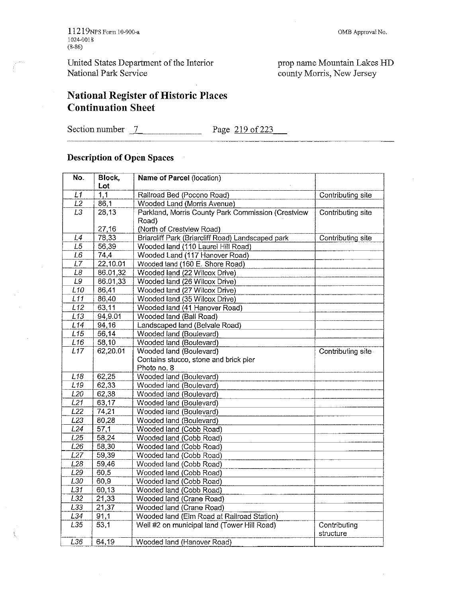OMB Approval No.

prop name Mountain Lakes HD county Morris, New Jersey

# National Register of Historic Places Continuation Sheet

Section number  $\frac{7}{2}$  Page  $\frac{219 \text{ of } 223}{219 \text{ of } 223}$ 

#### Description of Open Spaces  $\sim$

| No.              | Block,   | Name of Parcel (location)                          |                           |
|------------------|----------|----------------------------------------------------|---------------------------|
|                  | Lot      |                                                    |                           |
| L1               | 1,1      | Railroad Bed (Pocono Road)                         | Contributing site         |
| L2               | 86,1     | Wooded Land (Morris Avenue)                        |                           |
| $\overline{L3}$  | 28,13    | Parkland, Morris County Park Commission (Crestview | Contributing site         |
|                  |          | Road)                                              |                           |
|                  | 27,16    | (North of Crestview Road)                          |                           |
| L4               | 78,33    | Briarcliff Park (Briarcliff Road) Landscaped park  | Contributing site         |
| L5               | 56,39    | Wooded land (110 Laurel Hill Road)                 |                           |
| $\overline{L6}$  | 74,4     | Wooded Land (117 Hanover Road)                     |                           |
| L7               | 22,10.01 | Wooded land (160 E. Shore Road)                    |                           |
| L8               | 86.01,32 | Wooded land (22 Wilcox Drive)                      |                           |
| L9               | 86.01,33 | Wooded land (26 Wilcox Drive)                      |                           |
| L10              | 86,41    | Wooded land (27 Wilcox Drive)                      |                           |
| L11              | 86,40    | Wooded land (35 Wilcox Drive)                      |                           |
| $\overline{L12}$ | 63,11    | Wooded land (41 Hanover Road)                      |                           |
| L13              | 94,9.01  | Wooded land (Ball Road)                            |                           |
| L14              | 94,16    | Landscaped land (Belvale Road)                     |                           |
| L15              | 56,14    | Wooded land (Boulevard)                            |                           |
| L16              | 58,10    | Wooded land (Boulevard)                            |                           |
| L17              | 62,20.01 | Wooded land (Boulevard)                            | Contributing site         |
|                  |          | Contains stucco, stone and brick pier              |                           |
|                  |          | Photo no. 8                                        |                           |
| L18              | 62,25    | Wooded land (Boulevard)                            |                           |
| L19              | 62,33    | Wooded land (Boulevard)                            |                           |
| L <sub>20</sub>  | 62,38    | Wooded land (Boulevard)                            |                           |
| L21              | 63,17    | Wooded land (Boulevard)                            |                           |
| L22              | 74,21    | Wooded land (Boulevard)                            |                           |
| L23              | 80,28    | Wooded land (Boulevard)                            |                           |
| L24              | 57,1     | Wooded land (Cobb Road)                            |                           |
| L25              | 58,24    | Wooded land (Cobb Road)                            |                           |
| L26              | 58,30    | Wooded land (Cobb Road)                            |                           |
| L27              | 59,39    | Wooded land (Cobb Road)                            |                           |
| L <sub>28</sub>  | 59,46    | Wooded land (Cobb Road)                            |                           |
| L29              | 60,5     | Wooded land (Cobb Road)                            |                           |
| L30              | 60,9     | Wooded land (Cobb Road)                            |                           |
| $\overline{L31}$ | 60,13    | Wooded land (Cobb Road)                            |                           |
| L32              | 21,33    | Wooded land (Crane Road)                           |                           |
| L33              | 21,37    | Wooded land (Crane Road)                           |                           |
| L34              | 91,1     | Wooded land (Elm Road at Railroad Station)         |                           |
| L35              | 53,1     | Well #2 on municipal land (Tower Hill Road)        | Contributing<br>structure |
| L36              | 64,19    | Wooded land (Hanover Road)                         |                           |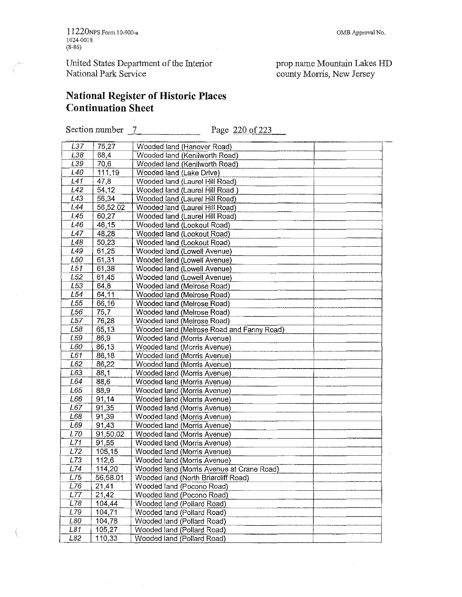11220NPS Fonn 10-900-a 1024-0018 (8-86)

United States Department of the Interior National Park Service

 $\hat{\theta}$ 

prop name Mountain Lakes HD county Morris, New Jersey

# **National Register** of Historic **Places Continuation Sheet**

Section number  $\frac{7}{2}$  Page  $\frac{220}{6}$  223

| L37             | 75,27    | Wooded land (Hanover Road)                |
|-----------------|----------|-------------------------------------------|
| L38             | 68,4     | Wooded land (Kenilworth Road)             |
| L39             | 70,6     | Wooded land (Kenilworth Road)             |
| L40             | 111,19   | Wooded land (Lake Drive)                  |
| L41             | 47,8     | Wooded land (Laurel Hill Road)            |
| L42             | 54,12    | Wooded land (Laurel Hill Road)            |
| L43             | 56,34    | Wooded land (Laurel Hill Road)            |
| L44             | 56,52.02 | Wooded land (Laurel Hill Road)            |
| L45             | 60,27    | Wooded land (Laurel Hill Road)            |
| L46             | 46,15    | Wooded land (Lookout Road)                |
| L47             | 48,28    | Wooded land (Lookout Road)                |
| 148             | 50,23    | Wooded land (Lookout Road)                |
| L <sub>49</sub> | 61,25    | Wooded land (Lowell Avenue)               |
| L50             | 61,31    | Wooded land (Lowell Avenue)               |
| L51             | 61,38    | Wooded land (Lowell Avenue)               |
| L <sub>52</sub> | 61,45    | Wooded land (Lowell Avenue)               |
| L <sub>53</sub> | 64,8     | Wooded land (Melrose Road)                |
| L54             | 64,11    | Wooded land (Melrose Road)                |
| L55             | 66,16    | Wooded land (Melrose Road)                |
| L <sub>56</sub> | 75,7     | Wooded land (Melrose Road)                |
| L57             | 76,28    |                                           |
| L <sub>58</sub> | 65,13    | Wooded land (Melrose Road)                |
| L <sub>59</sub> | 86,9     | Wooded land (Melrose Road and Fanny Road) |
| L60             |          | Wooded land (Morris Avenue)               |
| L61             | 86,13    | Wooded land (Morris Avenue)               |
|                 | 86,18    | Wooded land (Morris Avenue)               |
| L62             | 86,22    | Wooded land (Morris Avenue)               |
| L63<br>L64      | 88,1     | Wooded land (Morris Avenue)               |
|                 | 88,6     | Wooded land (Morris Avenue)               |
| L65.            | 88,9     | Wooded land (Morris Avenue)               |
| L66             | 91,14    | Wooded land (Morris Avenue)               |
| L67.            | 91,35    | <b>Wooded land (Morris Avenue)</b>        |
| L68             | 91,39    | Wooded land (Morris Avenue)               |
| L69             | 91,43    | Wooded land (Morris Avenue)               |
| L70             | 91,50.02 | Wooded land (Morris Avenue)               |
| L71             | 91,55    | Wooded land (Morris Avenue)               |
| L72             | 105.15   | Wooded land (Morris Avenue)               |
| L73             | 112,6    | Wooded land (Morris Avenue)               |
| L74             | 114,20   | Wooded land (Morris Avenue at Crane Road) |
| L75             | 56,58.01 | Wooded land (North Briarcliff Road)       |
| L76             | 21,41    | Wooded land (Pocono Road)                 |
| L77             | 21,42    | Wooded land (Pocono Road)                 |
| L78             | 104,44   | Wooded land (Pollard Road)                |
| L79             | 104,71   | Wooded land (Pollard Road)                |
| L80             | 104 78   | Wooded land (Pollard Road)                |
| L81             | 105,27   | Wooded land (Pollard Road)                |
| L82             | 110,33   | Wooded land (Pollard Road)                |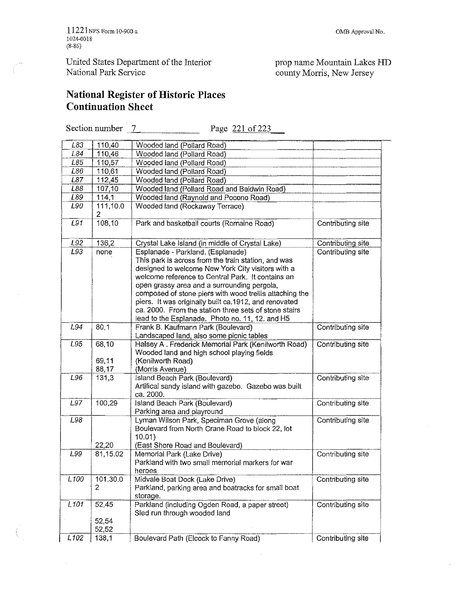11221NPS Form 10-900-a 1024-0018 (8-86)

United States Department of the Interior National Park Service

#### **ONlB Approval No.**

prop name Mountain Lakes HD county Morris, New Jersey

# **National Register** of Historic **Places Continuation Sheet**

Section number  $\boxed{7}$  Page 221 of 223

| L83                | 110,40         | Wooded land (Pollard Road)                                                                                                                                                                                                   |                   |
|--------------------|----------------|------------------------------------------------------------------------------------------------------------------------------------------------------------------------------------------------------------------------------|-------------------|
| L84                | 110,46         | Wooded land (Pollard Road)                                                                                                                                                                                                   |                   |
| L85                | 110,57         | Wooded land (Pollard Road)                                                                                                                                                                                                   |                   |
| L86                | 110,61         | Wooded land (Pollard Road)                                                                                                                                                                                                   |                   |
| L87                | 112,45         | Wooded land (Pollard Road)                                                                                                                                                                                                   |                   |
| L88                | 107,10         | Wooded land (Pollard Road and Baldwin Road)                                                                                                                                                                                  |                   |
| L89                | 114,1          | Wooded land (Raynold and Pocono Road)                                                                                                                                                                                        |                   |
| L90                | 111,10.0       | Wooded land (Rockaway Terrace)                                                                                                                                                                                               |                   |
|                    | 2              |                                                                                                                                                                                                                              |                   |
| L91                | 108,10         | Park and basketball courts (Romaine Road)                                                                                                                                                                                    | Contributing site |
| L92                | 136,2          | Crystal Lake Island (in middle of Crystal Lake)                                                                                                                                                                              | Contributing site |
| L93                | none           | Esplanade - Parkland. (Esplanade)                                                                                                                                                                                            | Contributing site |
|                    |                | This park is across from the train station, and was<br>designed to welcome New York City visitors with a<br>welcome reference to Central Park. It contains an<br>open grassy area and a surrounding pergola,                 |                   |
|                    |                | composed of stone piers with wood trellis attaching the<br>piers. It was originally built ca.1912, and renovated<br>ca. 2000. From the station three sets of stone stairs<br>lead to the Esplanade. Photo no. 11, 12. and H5 |                   |
| L94                | 80,1           | Frank B. Kaufmann Park (Boulevard)<br>Landscaped land, also some picnic tables                                                                                                                                               | Contributing site |
| L95                | 68,10<br>69,11 | Halsey A. Frederick Memorial Park (Kenilworth Road)<br>Wooded land and high school playing fields<br>(Kenilworth Road)                                                                                                       | Contributing site |
|                    | 88,17          | (Morris Avenue)                                                                                                                                                                                                              |                   |
| L96                | 131.3          | Island Beach Park (Boulevard)                                                                                                                                                                                                | Contributing site |
|                    |                | Artifical sandy island with gazebo. Gazebo was built<br>ca. 2000.                                                                                                                                                            |                   |
| L97                | 100,29         | Island Beach Park (Boulevard)<br>Parking area and playround                                                                                                                                                                  | Contributing site |
| L98                | 22,20          | Lyman Wilson Park, Speciman Grove (along<br>Boulevard from North Crane Road to block 22, lot<br>10.01)<br>(East Shore Road and Boulevard)                                                                                    | Contributing site |
| L99                | 81,15.02       | Memorial Park (Lake Drive)<br>Parkland with two small memorial markers for war<br>heroes                                                                                                                                     | Contributing site |
| $\overline{L}$ 100 | 101.30.0<br>2  | Midvale Boat Dock (Lake Drive)<br>Parkland, parking area and boatracks for small boat<br>storage.                                                                                                                            | Contributing site |
| L101               | 52,45<br>52,54 | Parkland (including Ogden Road, a paper street)<br>Sled run through wooded land                                                                                                                                              | Contributing site |
|                    | 52,52          |                                                                                                                                                                                                                              |                   |
| L <sub>102</sub>   | 138,1          | Boulevard Path (Elcock to Fanny Road)                                                                                                                                                                                        | Contributing site |

 $\sim$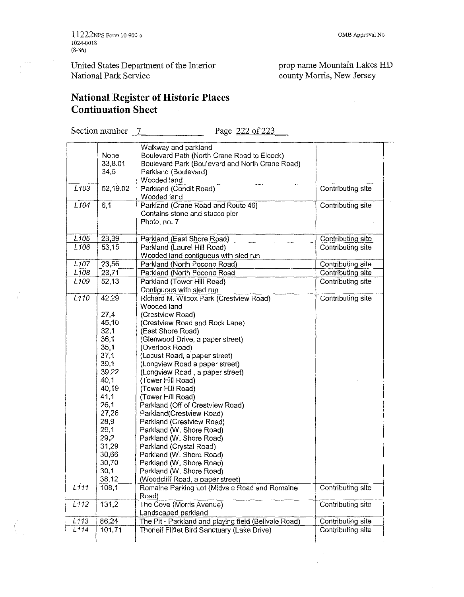#### **OMB Approval No.**

 $\hat{\mathbf{x}}$ 

prop name Mountain Lakes HD county Morris, New Jersey

 $\bar{z}$ 

#### **National Register** of Historic **Places Continuation Sheet**   $\hat{\mathcal{A}}$

Section number 7 Page 222 of 223

|                  |                  | Walkway and parkland                                                        |                   |
|------------------|------------------|-----------------------------------------------------------------------------|-------------------|
|                  | <b>None</b>      | Boulevard Path (North Crane Road to Elcock)                                 |                   |
|                  | 33,8.01          | Boulevard Park (Boulevard and North Crane Road)                             |                   |
|                  | 34,5             | Parkland (Boulevard)                                                        |                   |
|                  |                  | Wooded land                                                                 |                   |
| L103             | 52,19.02         | Parkland (Condit Road)                                                      | Contributing site |
|                  |                  | Wooded land                                                                 |                   |
| L <sub>104</sub> | $\overline{6,1}$ | Parkland (Crane Road and Route 46)                                          | Contributing site |
|                  |                  | Contains stone and stucco pier                                              |                   |
|                  |                  | Photo, no. 7                                                                |                   |
|                  |                  |                                                                             |                   |
| L <sub>105</sub> | 23,39            | Parkland (East Shore Road)                                                  | Contributing site |
| L <sub>106</sub> | 53,15            | Parkland (Laurel Hill Road)                                                 | Contributing site |
|                  |                  | Wooded land contiguous with sled run                                        |                   |
| L <sub>107</sub> | 23,56            | Parkland (North Pocono Road)                                                | Contributing site |
| L <sub>108</sub> | 23,71            | Parkland (North Pocono Road                                                 | Contributing site |
| L <sub>109</sub> | 52,13            | Parkland (Tower Hill Road)                                                  | Contributing site |
|                  |                  | Contiguous with sled run                                                    |                   |
| L <sub>110</sub> | 42,29            | Richard M. Wilcox Park (Crestview Road)                                     | Contributing site |
|                  |                  | Wooded land                                                                 |                   |
|                  | 27,4             | (Crestview Road)                                                            |                   |
|                  | 45,10            | (Crestview Road and Rock Lane)                                              |                   |
|                  | 32,1             | (East Shore Road)                                                           |                   |
|                  | 36,1             | (Glenwood Drive, a paper street)                                            |                   |
|                  | 35,1             | (Overlook Road)                                                             |                   |
|                  | 37,1             | (Locust Road, a paper street)                                               |                   |
|                  | 39,1             | (Longview Road a paper street)                                              |                   |
|                  | 39,22            | (Longview Road, a paper street)                                             |                   |
|                  | 40,1             | (Tower Hill Road)                                                           |                   |
|                  | 40,19            | (Tower Hill Road)                                                           |                   |
|                  | 41,1             | (Tower Hill Road)                                                           |                   |
|                  | 26,1             | Parkland (Off of Crestview Road)                                            |                   |
|                  | 27,26            | Parkland(Crestview Road)                                                    |                   |
|                  | 28,9             | Parkland (Crestview Road)                                                   |                   |
|                  | 29,1             | Parkland (W. Shore Road)                                                    |                   |
|                  | 29,2             | Parkland (W. Shore Road)                                                    |                   |
|                  | 31,29            | Parkland (Crystal Road)                                                     |                   |
|                  | 30,66            | Parkland (W. Shore Road)                                                    |                   |
|                  | 30,70            | Parkland (W. Shore Road)                                                    |                   |
|                  | 30,1             | Parkland (W. Shore Road)                                                    |                   |
|                  | 38,12            | (Woodcliff Road, a paper street)                                            |                   |
| 1111             | 108,1            | Romaine Parking Lot (Midvale Road and Romaine                               | Contributing site |
|                  |                  | Road)                                                                       |                   |
|                  |                  | The Cove (Morris Avenue)                                                    | Contributing site |
|                  |                  |                                                                             |                   |
| L112             | 131,2            |                                                                             |                   |
| L113             | 86,24            | Landscaped parkland<br>The Pit - Parkland and playing field (Bellvale Road) | Contributing site |